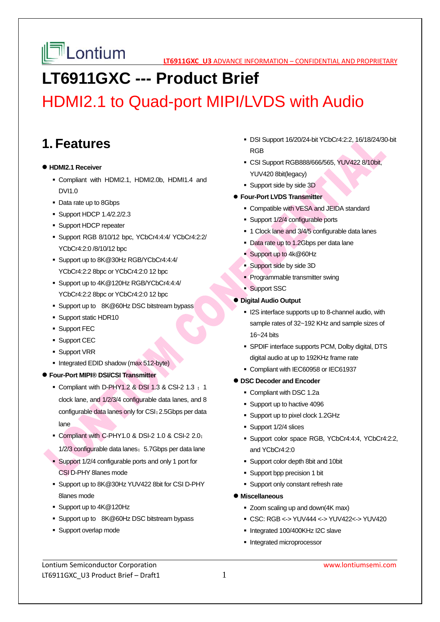

# **LT6911GXC --- Product Brief**

# HDMI2.1 to Quad-port MIPI/LVDS with Audio

### **1. Features**

#### **HDMI2.1 Receiver**

- Compliant with HDMI2.1, HDMI2.0b, HDMI1.4 and DVI1.0
- Data rate up to 8Gbps
- Support HDCP 1.4/2.2/2.3
- **Support HDCP repeater**
- Support RGB 8/10/12 bpc, YCbCr4:4:4/ YCbCr4:2:2/ YCbCr4:2:0 /8/10/12 bpc
- Support up to 8K@30Hz RGB/YCbCr4:4:4/ YCbCr4:2:2 8bpc or YCbCr4:2:0 12 bpc
- Support up to 4K@120Hz RGB/YCbCr4:4:4/ YCbCr4:2:2 8bpc or YCbCr4:2:0 12 bpc
- Support up to 8K@60Hz DSC bitstream bypass
- **Support static HDR10**
- **Support FEC**
- **Support CEC**
- **Support VRR**
- Integrated EDID shadow (max 512-byte)
- **Four-Port MIPI® DSI/CSI Transmitter** 
	- Compliant with D-PHY1.2 & DSI 1.3 & CSI-2 1.3  $: 1$ clock lane, and 1/2/3/4 configurable data lanes, and 8 configurable data lanes only for CSI;2.5Gbps per data lane
	- Compliant with C-PHY1.0 & DSI-2 1.0 & CSI-2 2.0; 1/2/3 configurable data lanes; 5.7Gbps per data lane
	- Support 1/2/4 configurable ports and only 1 port for CSI D-PHY 8lanes mode
	- Support up to 8K@30Hz YUV422 8bit for CSI D-PHY 8lanes mode
	- Support up to 4K@120Hz
	- Support up to 8K@60Hz DSC bitstream bypass
	- **Support overlap mode**
- DSI Support 16/20/24-bit YCbCr4:2:2, 16/18/24/30-bit RGB
- CSI Support RGB888/666/565, YUV422 8/10bit, YUV420 8bit(legacy)
- Support side by side 3D

#### **Four-Port LVDS Transmitter**

- Compatible with VESA and JEIDA standard
- Support 1/2/4 configurable ports
- 1 Clock lane and 3/4/5 configurable data lanes
- Data rate up to 1.2Gbps per data lane
- Support up to 4k@60Hz
- Support side by side 3D
- Programmable transmitter swing
- **Support SSC**

### **Digital Audio Output**

- **ICO** interface supports up to 8-channel audio, with sample rates of 32~192 KHz and sample sizes of 16~24 bits
- SPDIF interface supports PCM, Dolby digital, DTS digital audio at up to 192KHz frame rate
- Compliant with IEC60958 or IEC61937

### **DSC Decoder and Encoder**

- Compliant with DSC 1.2a
- Support up to hactive 4096
- Support up to pixel clock 1.2GHz
- Support 1/2/4 slices
- Support color space RGB, YCbCr4:4:4, YCbCr4:2:2, and YCbCr4:2:0
- Support color depth 8bit and 10bit
- Support bpp precision 1 bit
- **Support only constant refresh rate**
- **Miscellaneous** 
	- Zoom scaling up and down(4K max)
	- CSC: RGB <-> YUV444 <-> YUV422<-> YUV420
	- Integrated 100/400KHz I2C slave
	- **Integrated microprocessor**

Lontium Semiconductor Corporation www.lontiumsemi.com LT6911GXC U3 Product Brief – Draft1  $1$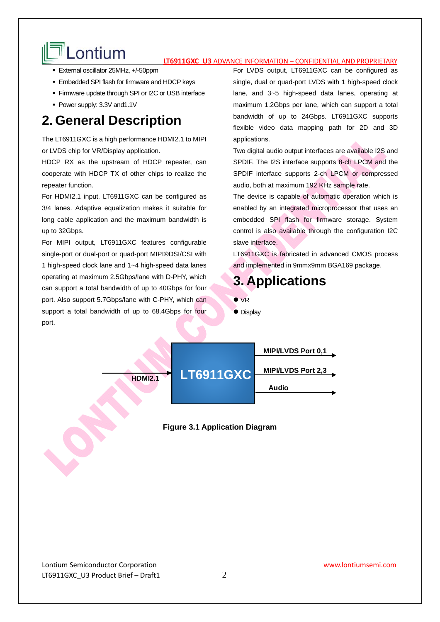# Lontium **Later Ligan Confidential and Proprietary**

- External oscillator 25MHz, +/-50ppm
- **Embedded SPI flash for firmware and HDCP keys**
- **Firmware update through SPI or I2C or USB interface**
- Power supply: 3.3V and1.1V

## **2. General Description**

The LT6911GXC is a high performance HDMI2.1 to MIPI or LVDS chip for VR/Display application.

HDCP RX as the upstream of HDCP repeater, can cooperate with HDCP TX of other chips to realize the repeater function.

For HDMI2.1 input, LT6911GXC can be configured as 3/4 lanes. Adaptive equalization makes it suitable for long cable application and the maximum bandwidth is up to 32Gbps.

For MIPI output, LT6911GXC features configurable single-port or dual-port or quad-port MIPI®DSI/CSI with 1 high-speed clock lane and 1~4 high-speed data lanes operating at maximum 2.5Gbps/lane with D-PHY, which can support a total bandwidth of up to 40Gbps for four port. Also support 5.7Gbps/lane with C-PHY, which can support a total bandwidth of up to 68.4Gbps for four port.

For LVDS output, LT6911GXC can be configured as single, dual or quad-port LVDS with 1 high-speed clock lane, and 3~5 high-speed data lanes, operating at maximum 1.2Gbps per lane, which can support a total bandwidth of up to 24Gbps. LT6911GXC supports flexible video data mapping path for 2D and 3D applications.

Two digital audio output interfaces are available I2S and SPDIF. The I2S interface supports 8-ch LPCM and the SPDIF interface supports 2-ch LPCM or compressed audio, both at maximum 192 KHz sample rate.

The device is capable of automatic operation which is enabled by an integrated microprocessor that uses an embedded SPI flash for firmware storage. System control is also available through the configuration I2C slave interface.

LT6911GXC is fabricated in advanced CMOS process and implemented in 9mmx9mm BGA169 package.

### **3. Applications**

- **O** VR
- Display



### **Figure 3.1 Application Diagram**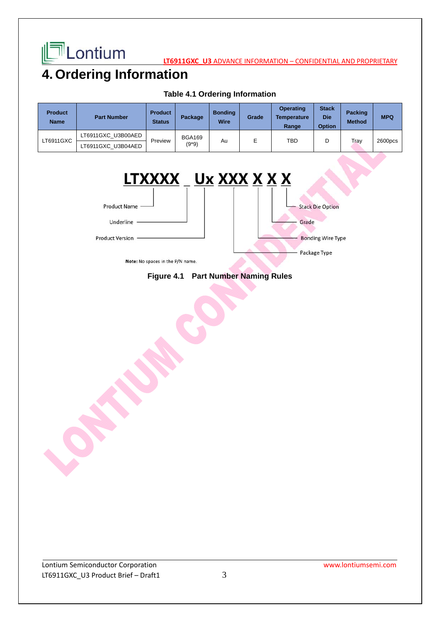

**LT6911GXC\_U3** ADVANCE INFORMATION – CONFIDENTIAL AND PROPRIETARY

## **4. Ordering Information**

| <b>Product</b><br><b>Name</b> | <b>Part Number</b> | <b>Product</b><br><b>Status</b> | Package                | <b>Bonding</b><br><b>Wire</b> | Grade | <b>Operating</b><br><b>Temperature</b><br>Range | <b>Stack</b><br><b>Die</b><br><b>Option</b> | <b>Packing</b><br><b>Method</b> | <b>MPQ</b> |
|-------------------------------|--------------------|---------------------------------|------------------------|-------------------------------|-------|-------------------------------------------------|---------------------------------------------|---------------------------------|------------|
| LT6911GXC                     | LT6911GXC U3B00AED | Preview                         | <b>BGA169</b><br>(9*9) | Au                            | E     | TBD                                             | D                                           | Tray                            | 2600pcs    |
|                               | LT6911GXC U3B04AED |                                 |                        |                               |       |                                                 |                                             |                                 |            |

### **Table 4.1 Ordering Information**